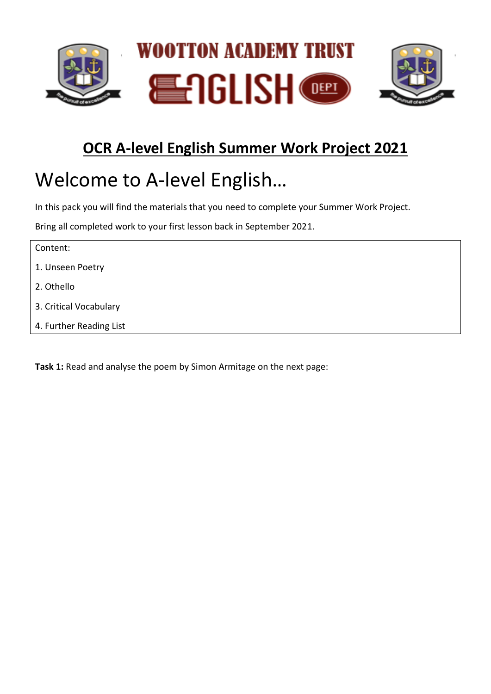

## **OCR A-level English Summer Work Project 2021**

# Welcome to A-level English…

In this pack you will find the materials that you need to complete your Summer Work Project.

Bring all completed work to your first lesson back in September 2021.

| Content:                |  |  |
|-------------------------|--|--|
| 1. Unseen Poetry        |  |  |
| 2. Othello              |  |  |
| 3. Critical Vocabulary  |  |  |
| 4. Further Reading List |  |  |

**Task 1:** Read and analyse the poem by Simon Armitage on the next page: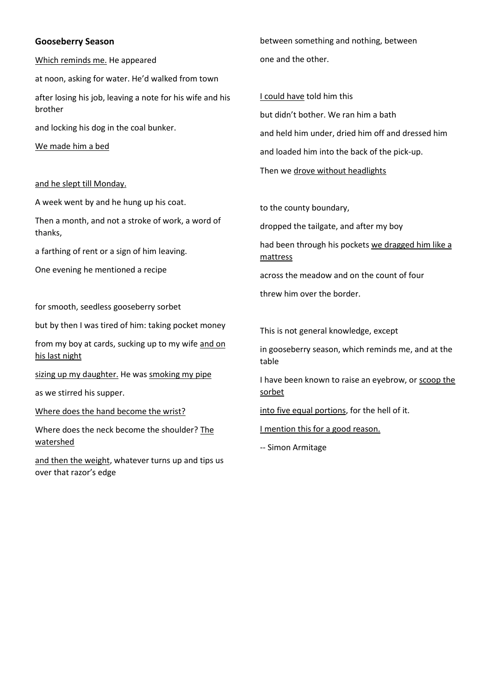#### **Gooseberry Season**

Which reminds me. He appeared

at noon, asking for water. He'd walked from town

after losing his job, leaving a note for his wife and his brother

and locking his dog in the coal bunker.

We made him a bed

#### and he slept till Monday.

A week went by and he hung up his coat.

Then a month, and not a stroke of work, a word of thanks,

a farthing of rent or a sign of him leaving.

One evening he mentioned a recipe

for smooth, seedless gooseberry sorbet

but by then I was tired of him: taking pocket money

from my boy at cards, sucking up to my wife and on his last night

sizing up my daughter. He was smoking my pipe

as we stirred his supper.

Where does the hand become the wrist?

Where does the neck become the shoulder? The watershed

and then the weight, whatever turns up and tips us over that razor's edge

between something and nothing, between one and the other.

I could have told him this but didn't bother. We ran him a bath and held him under, dried him off and dressed him and loaded him into the back of the pick-up. Then we drove without headlights

to the county boundary,

dropped the tailgate, and after my boy

had been through his pockets we dragged him like a mattress

across the meadow and on the count of four

threw him over the border.

This is not general knowledge, except

in gooseberry season, which reminds me, and at the table

I have been known to raise an eyebrow, or scoop the sorbet

into five equal portions, for the hell of it.

I mention this for a good reason.

-- Simon Armitage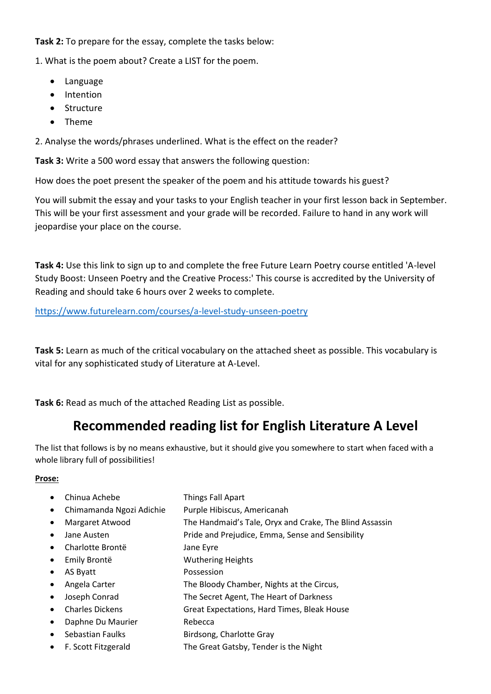**Task 2:** To prepare for the essay, complete the tasks below:

1. What is the poem about? Create a LIST for the poem.

- Language
- Intention
- Structure
- Theme

2. Analyse the words/phrases underlined. What is the effect on the reader?

**Task 3:** Write a 500 word essay that answers the following question:

How does the poet present the speaker of the poem and his attitude towards his guest?

You will submit the essay and your tasks to your English teacher in your first lesson back in September. This will be your first assessment and your grade will be recorded. Failure to hand in any work will jeopardise your place on the course.

**Task 4:** Use this link to sign up to and complete the free Future Learn Poetry course entitled 'A-level Study Boost: Unseen Poetry and the Creative Process:' This course is accredited by the University of Reading and should take 6 hours over 2 weeks to complete.

<https://www.futurelearn.com/courses/a-level-study-unseen-poetry>

**Task 5:** Learn as much of the critical vocabulary on the attached sheet as possible. This vocabulary is vital for any sophisticated study of Literature at A-Level.

**Task 6:** Read as much of the attached Reading List as possible.

### **Recommended reading list for English Literature A Level**

The list that follows is by no means exhaustive, but it should give you somewhere to start when faced with a whole library full of possibilities!

#### **Prose:**

|           | Chinua Achebe            | <b>Things Fall Apart</b>                                |
|-----------|--------------------------|---------------------------------------------------------|
|           | Chimamanda Ngozi Adichie | Purple Hibiscus, Americanah                             |
| $\bullet$ | Margaret Atwood          | The Handmaid's Tale, Oryx and Crake, The Blind Assassin |
|           | Jane Austen              | Pride and Prejudice, Emma, Sense and Sensibility        |
| $\bullet$ | Charlotte Brontë         | Jane Eyre                                               |
| $\bullet$ | Emily Brontë             | <b>Wuthering Heights</b>                                |
|           | AS Byatt                 | Possession                                              |
|           | Angela Carter            | The Bloody Chamber, Nights at the Circus,               |
|           | Joseph Conrad            | The Secret Agent, The Heart of Darkness                 |
| $\bullet$ | <b>Charles Dickens</b>   | Great Expectations, Hard Times, Bleak House             |
|           | Daphne Du Maurier        | Rebecca                                                 |
|           | Sebastian Faulks         | Birdsong, Charlotte Gray                                |

• F. Scott Fitzgerald The Great Gatsby, Tender is the Night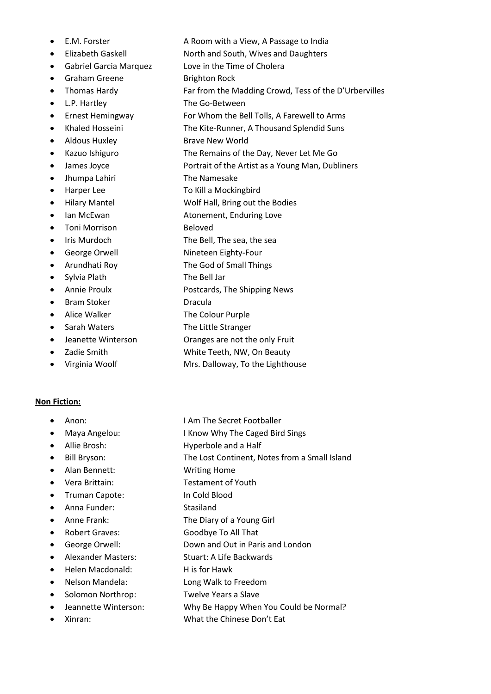- 
- 
- 
- 
- 
- 
- 
- 
- 
- 
- 
- Jhumpa Lahiri The Namesake
- 
- 
- 
- Toni Morrison Beloved
- 
- 
- 
- 
- 
- Bram Stoker Dracula
- 
- 
- 
- 
- 

#### **Non Fiction:**

- 
- 
- 
- 
- 
- 
- Truman Capote: In Cold Blood
- Anna Funder: Stasiland
- 
- 
- 
- Alexander Masters: Stuart: A Life Backwards
- Helen Macdonald: His for Hawk
- 
- Solomon Northrop: Twelve Years a Slave
- 
- 
- E.M. Forster **A Room with a View, A Passage to India**
- Elizabeth Gaskell North and South, Wives and Daughters
- Gabriel Garcia Marquez Love in the Time of Cholera
	- Graham Greene Brighton Rock
- Thomas Hardy **Far from the Madding Crowd, Tess of the D'Urbervilles**
- L.P. Hartley The Go-Between
	- Ernest Hemingway For Whom the Bell Tolls, A Farewell to Arms
	- Khaled Hosseini The Kite-Runner, A Thousand Splendid Suns
- Aldous Huxley Brave New World
- Kazuo Ishiguro The Remains of the Day, Never Let Me Go
- James Joyce **Portrait of the Artist as a Young Man**, Dubliners
	-
- Harper Lee To Kill a Mockingbird
- Hilary Mantel Wolf Hall, Bring out the Bodies
	- Ian McEwan **Atonement**, Enduring Love
		-
- Iris Murdoch The Bell, The sea, the sea
- George Orwell Nineteen Eighty-Four
- Arundhati Roy The God of Small Things
	- Sylvia Plath The Bell Jar
- Annie Proulx Postcards, The Shipping News
	-
	- Alice Walker The Colour Purple
- Sarah Waters The Little Stranger
- Jeanette Winterson **Oranges are not the only Fruit**
- Zadie Smith White Teeth, NW, On Beauty
- Virginia Woolf Mrs. Dalloway, To the Lighthouse
- Anon: I Am The Secret Footballer
- Maya Angelou: I Know Why The Caged Bird Sings
- Allie Brosh: Hyperbole and a Half
- Bill Bryson: The Lost Continent, Notes from a Small Island
- Alan Bennett: Writing Home
- Vera Brittain: Testament of Youth
	-
	-
- Anne Frank: The Diary of a Young Girl
- Robert Graves: Goodbye To All That
- George Orwell: Down and Out in Paris and London
	- -
	- Nelson Mandela: Long Walk to Freedom
		-
- Jeannette Winterson: Why Be Happy When You Could be Normal?
	- Xinran: What the Chinese Don't Eat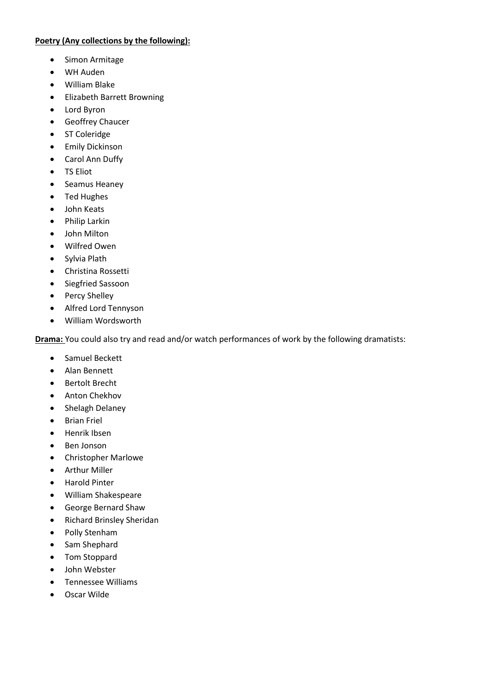#### **Poetry (Any collections by the following):**

- Simon Armitage
- WH Auden
- William Blake
- Elizabeth Barrett Browning
- Lord Byron
- Geoffrey Chaucer
- ST Coleridge
- Emily Dickinson
- Carol Ann Duffy
- TS Eliot
- Seamus Heaney
- Ted Hughes
- John Keats
- Philip Larkin
- John Milton
- Wilfred Owen
- Sylvia Plath
- Christina Rossetti
- Siegfried Sassoon
- Percy Shelley
- Alfred Lord Tennyson
- William Wordsworth

**Drama:** You could also try and read and/or watch performances of work by the following dramatists:

- Samuel Beckett
- Alan Bennett
- Bertolt Brecht
- Anton Chekhov
- Shelagh Delaney
- Brian Friel
- Henrik Ibsen
- Ben Jonson
- Christopher Marlowe
- Arthur Miller
- Harold Pinter
- William Shakespeare
- George Bernard Shaw
- Richard Brinsley Sheridan
- Polly Stenham
- Sam Shephard
- Tom Stoppard
- John Webster
- Tennessee Williams
- Oscar Wilde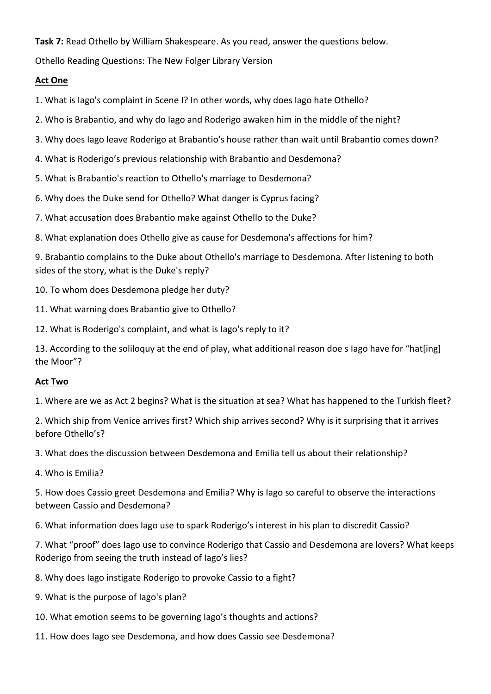#### **Task 7:** Read Othello by William Shakespeare. As you read, answer the questions below.

Othello Reading Questions: The New Folger Library Version

#### **Act One**

1. What is Iago's complaint in Scene I? In other words, why does Iago hate Othello?

- 2. Who is Brabantio, and why do Iago and Roderigo awaken him in the middle of the night?
- 3. Why does Iago leave Roderigo at Brabantio's house rather than wait until Brabantio comes down?
- 4. What is Roderigo's previous relationship with Brabantio and Desdemona?
- 5. What is Brabantio's reaction to Othello's marriage to Desdemona?
- 6. Why does the Duke send for Othello? What danger is Cyprus facing?
- 7. What accusation does Brabantio make against Othello to the Duke?
- 8. What explanation does Othello give as cause for Desdemona's affections for him?

9. Brabantio complains to the Duke about Othello's marriage to Desdemona. After listening to both sides of the story, what is the Duke's reply?

10. To whom does Desdemona pledge her duty?

- 11. What warning does Brabantio give to Othello?
- 12. What is Roderigo's complaint, and what is Iago's reply to it?

13. According to the soliloquy at the end of play, what additional reason doe s Iago have for "hat[ing] the Moor"?

#### **Act Two**

1. Where are we as Act 2 begins? What is the situation at sea? What has happened to the Turkish fleet?

2. Which ship from Venice arrives first? Which ship arrives second? Why is it surprising that it arrives before Othello's?

3. What does the discussion between Desdemona and Emilia tell us about their relationship?

4. Who is Emilia?

5. How does Cassio greet Desdemona and Emilia? Why is Iago so careful to observe the interactions between Cassio and Desdemona?

6. What information does Iago use to spark Roderigo's interest in his plan to discredit Cassio?

7. What "proof" does Iago use to convince Roderigo that Cassio and Desdemona are lovers? What keeps Roderigo from seeing the truth instead of Iago's lies?

- 8. Why does Iago instigate Roderigo to provoke Cassio to a fight?
- 9. What is the purpose of Iago's plan?
- 10. What emotion seems to be governing Iago's thoughts and actions?
- 11. How does Iago see Desdemona, and how does Cassio see Desdemona?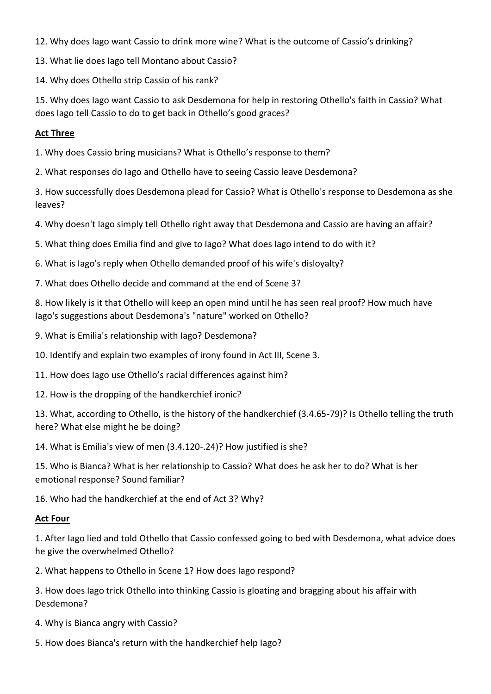12. Why does Iago want Cassio to drink more wine? What is the outcome of Cassio's drinking?

13. What lie does Iago tell Montano about Cassio?

14. Why does Othello strip Cassio of his rank?

15. Why does Iago want Cassio to ask Desdemona for help in restoring Othello's faith in Cassio? What does Iago tell Cassio to do to get back in Othello's good graces?

#### **Act Three**

1. Why does Cassio bring musicians? What is Othello's response to them?

2. What responses do Iago and Othello have to seeing Cassio leave Desdemona?

3. How successfully does Desdemona plead for Cassio? What is Othello's response to Desdemona as she leaves?

4. Why doesn't Iago simply tell Othello right away that Desdemona and Cassio are having an affair?

5. What thing does Emilia find and give to Iago? What does Iago intend to do with it?

6. What is Iago's reply when Othello demanded proof of his wife's disloyalty?

7. What does Othello decide and command at the end of Scene 3?

8. How likely is it that Othello will keep an open mind until he has seen real proof? How much have Iago's suggestions about Desdemona's "nature" worked on Othello?

9. What is Emilia's relationship with Iago? Desdemona?

10. Identify and explain two examples of irony found in Act III, Scene 3.

11. How does Iago use Othello's racial differences against him?

12. How is the dropping of the handkerchief ironic?

13. What, according to Othello, is the history of the handkerchief (3.4.65-79)? Is Othello telling the truth here? What else might he be doing?

14. What is Emilia's view of men (3.4.120-.24)? How justified is she?

15. Who is Bianca? What is her relationship to Cassio? What does he ask her to do? What is her emotional response? Sound familiar?

16. Who had the handkerchief at the end of Act 3? Why?

#### **Act Four**

1. After Iago lied and told Othello that Cassio confessed going to bed with Desdemona, what advice does he give the overwhelmed Othello?

2. What happens to Othello in Scene 1? How does Iago respond?

3. How does Iago trick Othello into thinking Cassio is gloating and bragging about his affair with Desdemona?

4. Why is Bianca angry with Cassio?

5. How does Bianca's return with the handkerchief help Iago?